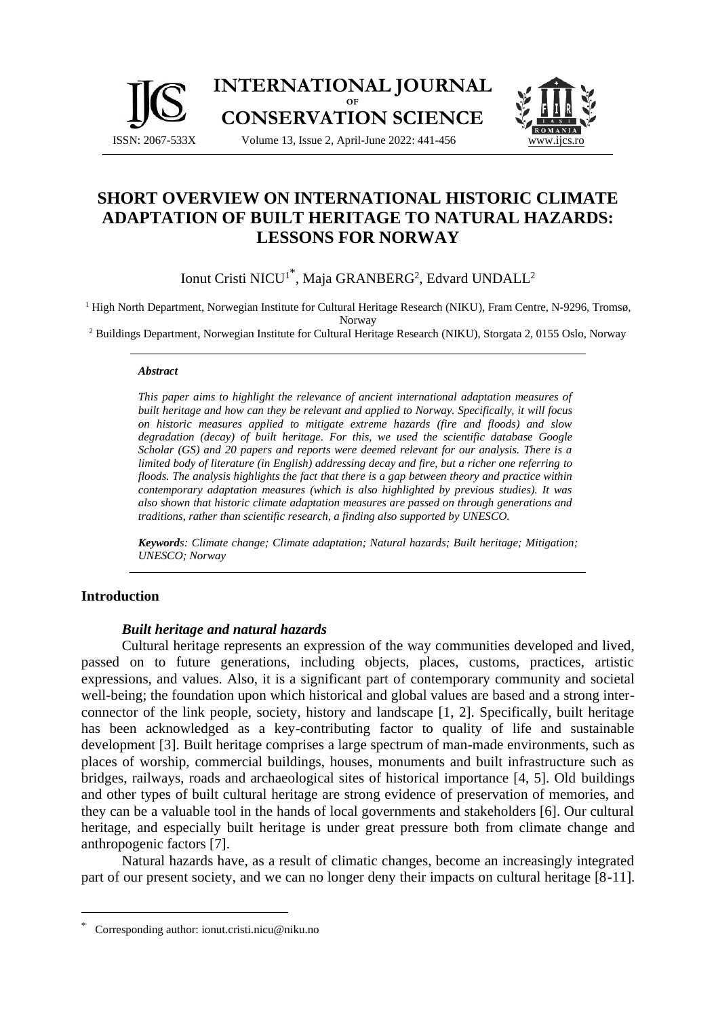



# **SHORT OVERVIEW ON INTERNATIONAL HISTORIC CLIMATE ADAPTATION OF BUILT HERITAGE TO NATURAL HAZARDS: LESSONS FOR NORWAY**

Ionut Cristi NICU<sup>1\*</sup>, Maja GRANBERG<sup>2</sup>, Edvard UNDALL<sup>2</sup>

<sup>1</sup> High North Department, Norwegian Institute for Cultural Heritage Research (NIKU), Fram Centre, N-9296, Tromsø, Norway

<sup>2</sup> Buildings Department, Norwegian Institute for Cultural Heritage Research (NIKU), Storgata 2, 0155 Oslo, Norway

#### *Abstract*

*This paper aims to highlight the relevance of ancient international adaptation measures of built heritage and how can they be relevant and applied to Norway. Specifically, it will focus on historic measures applied to mitigate extreme hazards (fire and floods) and slow degradation (decay) of built heritage. For this, we used the scientific database Google Scholar (GS) and 20 papers and reports were deemed relevant for our analysis. There is a limited body of literature (in English) addressing decay and fire, but a richer one referring to floods. The analysis highlights the fact that there is a gap between theory and practice within contemporary adaptation measures (which is also highlighted by previous studies). It was also shown that historic climate adaptation measures are passed on through generations and traditions, rather than scientific research, a finding also supported by UNESCO.*

*Keywords: Climate change; Climate adaptation; Natural hazards; Built heritage; Mitigation; UNESCO; Norway*

### **Introduction**

#### *Built heritage and natural hazards*

Cultural heritage represents an expression of the way communities developed and lived, passed on to future generations, including objects, places, customs, practices, artistic expressions, and values. Also, it is a significant part of contemporary community and societal well-being; the foundation upon which historical and global values are based and a strong interconnector of the link people, society, history and landscape [1, 2]. Specifically, built heritage has been acknowledged as a key-contributing factor to quality of life and sustainable development [3]. Built heritage comprises a large spectrum of man-made environments, such as places of worship, commercial buildings, houses, monuments and built infrastructure such as bridges, railways, roads and archaeological sites of historical importance [4, 5]. Old buildings and other types of built cultural heritage are strong evidence of preservation of memories, and they can be a valuable tool in the hands of local governments and stakeholders [6]. Our cultural heritage, and especially built heritage is under great pressure both from climate change and anthropogenic factors [7].

Natural hazards have, as a result of climatic changes, become an increasingly integrated part of our present society, and we can no longer deny their impacts on cultural heritage [8-11].

<sup>\*</sup> Corresponding author: ionut.cristi.nicu@niku.no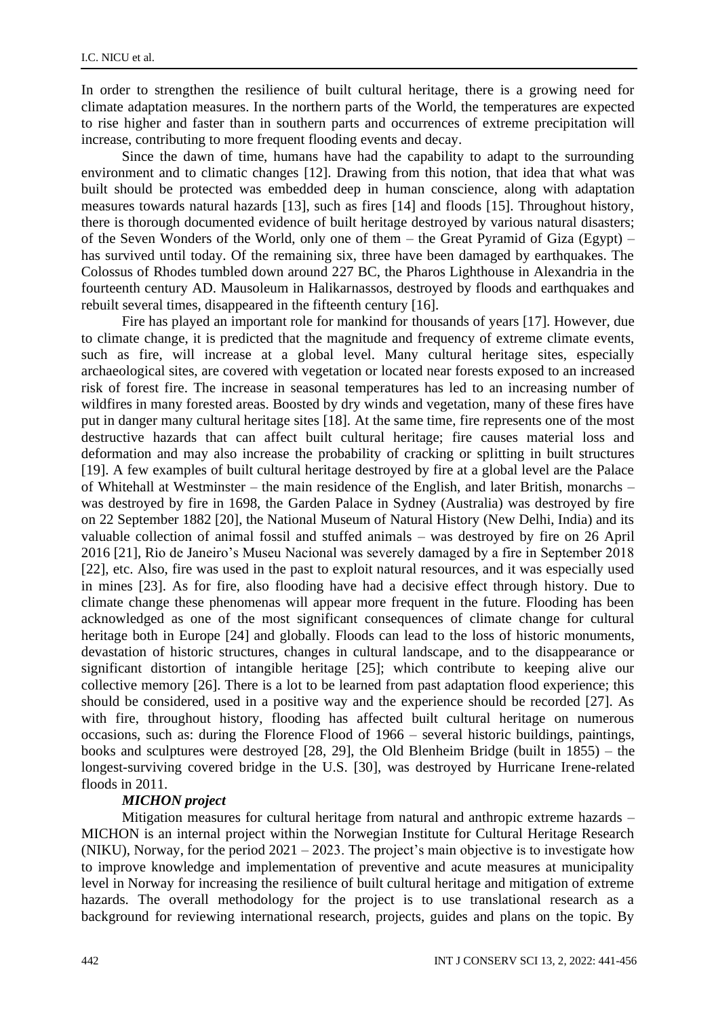In order to strengthen the resilience of built cultural heritage, there is a growing need for climate adaptation measures. In the northern parts of the World, the temperatures are expected to rise higher and faster than in southern parts and occurrences of extreme precipitation will increase, contributing to more frequent flooding events and decay.

Since the dawn of time, humans have had the capability to adapt to the surrounding environment and to climatic changes [12]. Drawing from this notion, that idea that what was built should be protected was embedded deep in human conscience, along with adaptation measures towards natural hazards [13], such as fires [14] and floods [15]. Throughout history, there is thorough documented evidence of built heritage destroyed by various natural disasters; of the Seven Wonders of the World, only one of them – the Great Pyramid of Giza (Egypt) – has survived until today. Of the remaining six, three have been damaged by earthquakes. The Colossus of Rhodes tumbled down around 227 BC, the Pharos Lighthouse in Alexandria in the fourteenth century AD. Mausoleum in Halikarnassos, destroyed by floods and earthquakes and rebuilt several times, disappeared in the fifteenth century [16].

Fire has played an important role for mankind for thousands of years [17]. However, due to climate change, it is predicted that the magnitude and frequency of extreme climate events, such as fire, will increase at a global level. Many cultural heritage sites, especially archaeological sites, are covered with vegetation or located near forests exposed to an increased risk of forest fire. The increase in seasonal temperatures has led to an increasing number of wildfires in many forested areas. Boosted by dry winds and vegetation, many of these fires have put in danger many cultural heritage sites [18]. At the same time, fire represents one of the most destructive hazards that can affect built cultural heritage; fire causes material loss and deformation and may also increase the probability of cracking or splitting in built structures [19]. A few examples of built cultural heritage destroyed by fire at a global level are the Palace of Whitehall at Westminster – the main residence of the English, and later British, monarchs – was destroyed by fire in 1698, the Garden Palace in Sydney (Australia) was destroyed by fire on 22 September 1882 [20], the National Museum of Natural History (New Delhi, India) and its valuable collection of animal fossil and stuffed animals – was destroyed by fire on 26 April 2016 [21], Rio de Janeiro's Museu Nacional was severely damaged by a fire in September 2018 [22], etc. Also, fire was used in the past to exploit natural resources, and it was especially used in mines [23]. As for fire, also flooding have had a decisive effect through history. Due to climate change these phenomenas will appear more frequent in the future. Flooding has been acknowledged as one of the most significant consequences of climate change for cultural heritage both in Europe [24] and globally. Floods can lead to the loss of historic monuments, devastation of historic structures, changes in cultural landscape, and to the disappearance or significant distortion of intangible heritage [25]; which contribute to keeping alive our collective memory [26]. There is a lot to be learned from past adaptation flood experience; this should be considered, used in a positive way and the experience should be recorded [27]. As with fire, throughout history, flooding has affected built cultural heritage on numerous occasions, such as: during the Florence Flood of 1966 – several historic buildings, paintings, books and sculptures were destroyed [28, 29], the Old Blenheim Bridge (built in 1855) – the longest-surviving covered bridge in the U.S. [30], was destroyed by Hurricane Irene-related floods in 2011.

### *MICHON project*

Mitigation measures for cultural heritage from natural and anthropic extreme hazards – MICHON is an internal project within the Norwegian Institute for Cultural Heritage Research (NIKU), Norway, for the period 2021 – 2023. The project's main objective is to investigate how to improve knowledge and implementation of preventive and acute measures at municipality level in Norway for increasing the resilience of built cultural heritage and mitigation of extreme hazards. The overall methodology for the project is to use translational research as a background for reviewing international research, projects, guides and plans on the topic. By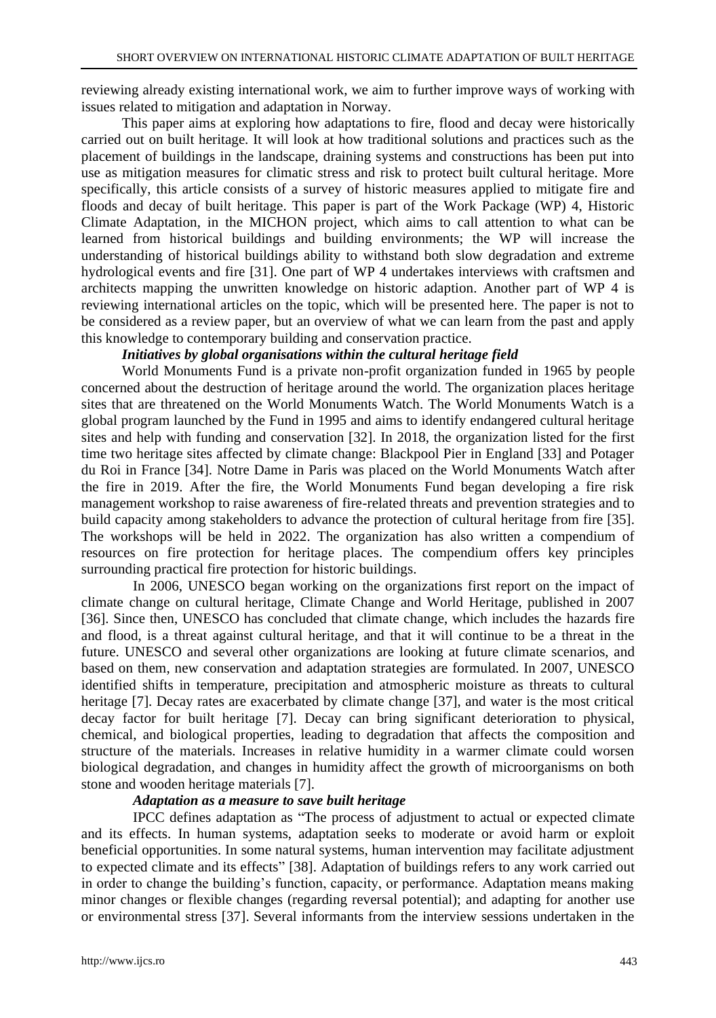reviewing already existing international work, we aim to further improve ways of working with issues related to mitigation and adaptation in Norway.

This paper aims at exploring how adaptations to fire, flood and decay were historically carried out on built heritage. It will look at how traditional solutions and practices such as the placement of buildings in the landscape, draining systems and constructions has been put into use as mitigation measures for climatic stress and risk to protect built cultural heritage. More specifically, this article consists of a survey of historic measures applied to mitigate fire and floods and decay of built heritage. This paper is part of the Work Package (WP) 4, Historic Climate Adaptation, in the MICHON project, which aims to call attention to what can be learned from historical buildings and building environments; the WP will increase the understanding of historical buildings ability to withstand both slow degradation and extreme hydrological events and fire [31]. One part of WP 4 undertakes interviews with craftsmen and architects mapping the unwritten knowledge on historic adaption. Another part of WP 4 is reviewing international articles on the topic, which will be presented here. The paper is not to be considered as a review paper, but an overview of what we can learn from the past and apply this knowledge to contemporary building and conservation practice.

## *Initiatives by global organisations within the cultural heritage field*

World Monuments Fund is a private non-profit organization funded in 1965 by people concerned about the destruction of heritage around the world. The organization places heritage sites that are threatened on the World Monuments Watch. The World Monuments Watch is a global program launched by the Fund in 1995 and aims to identify endangered cultural heritage sites and help with funding and conservation [32]. In 2018, the organization listed for the first time two heritage sites affected by climate change: Blackpool Pier in England [33] and Potager du Roi in France [34]. Notre Dame in Paris was placed on the World Monuments Watch after the fire in 2019. After the fire, the World Monuments Fund began developing a fire risk management workshop to raise awareness of fire-related threats and prevention strategies and to build capacity among stakeholders to advance the protection of cultural heritage from fire [35]. The workshops will be held in 2022. The organization has also written a compendium of resources on fire protection for heritage places. The compendium offers key principles surrounding practical fire protection for historic buildings.

In 2006, UNESCO began working on the organizations first report on the impact of climate change on cultural heritage, Climate Change and World Heritage, published in 2007 [36]. Since then, UNESCO has concluded that climate change, which includes the hazards fire and flood, is a threat against cultural heritage, and that it will continue to be a threat in the future. UNESCO and several other organizations are looking at future climate scenarios, and based on them, new conservation and adaptation strategies are formulated. In 2007, UNESCO identified shifts in temperature, precipitation and atmospheric moisture as threats to cultural heritage [7]. Decay rates are exacerbated by climate change [37], and water is the most critical decay factor for built heritage [7]. Decay can bring significant deterioration to physical, chemical, and biological properties, leading to degradation that affects the composition and structure of the materials. Increases in relative humidity in a warmer climate could worsen biological degradation, and changes in humidity affect the growth of microorganisms on both stone and wooden heritage materials [7].

# *Adaptation as a measure to save built heritage*

IPCC defines adaptation as "The process of adjustment to actual or expected climate and its effects. In human systems, adaptation seeks to moderate or avoid harm or exploit beneficial opportunities. In some natural systems, human intervention may facilitate adjustment to expected climate and its effects" [38]. Adaptation of buildings refers to any work carried out in order to change the building's function, capacity, or performance. Adaptation means making minor changes or flexible changes (regarding reversal potential); and adapting for another use or environmental stress [37]. Several informants from the interview sessions undertaken in the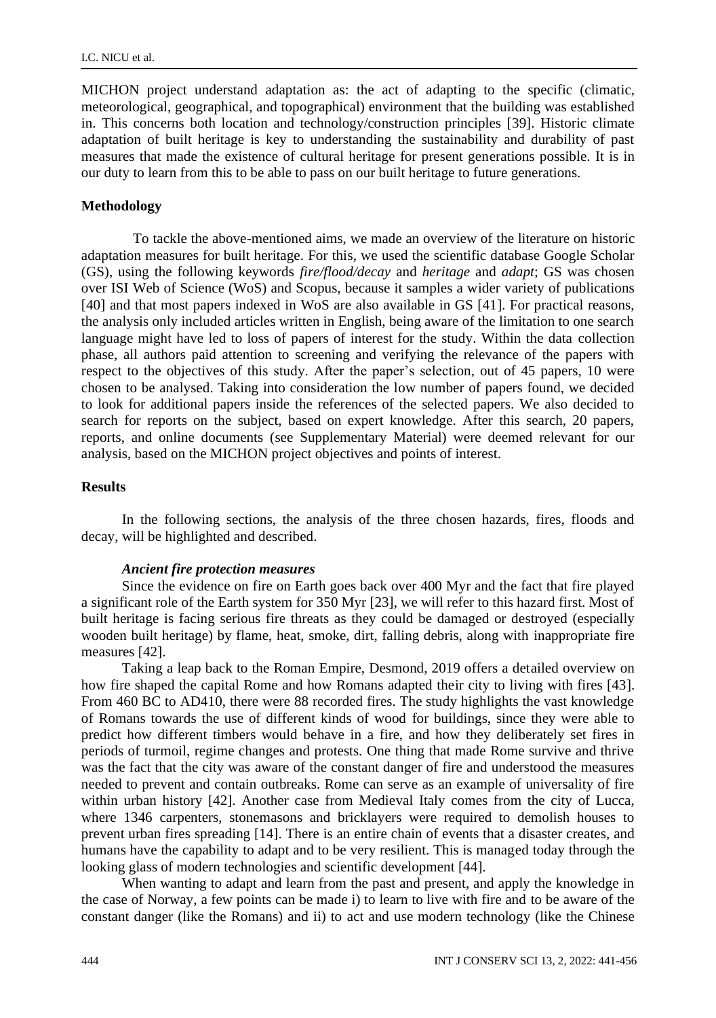MICHON project understand adaptation as: the act of adapting to the specific (climatic, meteorological, geographical, and topographical) environment that the building was established in. This concerns both location and technology/construction principles [39]. Historic climate adaptation of built heritage is key to understanding the sustainability and durability of past measures that made the existence of cultural heritage for present generations possible. It is in our duty to learn from this to be able to pass on our built heritage to future generations.

#### **Methodology**

To tackle the above-mentioned aims, we made an overview of the literature on historic adaptation measures for built heritage. For this, we used the scientific database Google Scholar (GS), using the following keywords *fire/flood/decay* and *heritage* and *adapt*; GS was chosen over ISI Web of Science (WoS) and Scopus, because it samples a wider variety of publications [40] and that most papers indexed in WoS are also available in GS [41]. For practical reasons, the analysis only included articles written in English, being aware of the limitation to one search language might have led to loss of papers of interest for the study. Within the data collection phase, all authors paid attention to screening and verifying the relevance of the papers with respect to the objectives of this study. After the paper's selection, out of 45 papers, 10 were chosen to be analysed. Taking into consideration the low number of papers found, we decided to look for additional papers inside the references of the selected papers. We also decided to search for reports on the subject, based on expert knowledge. After this search, 20 papers, reports, and online documents (see Supplementary Material) were deemed relevant for our analysis, based on the MICHON project objectives and points of interest.

#### **Results**

In the following sections, the analysis of the three chosen hazards, fires, floods and decay, will be highlighted and described.

#### *Ancient fire protection measures*

Since the evidence on fire on Earth goes back over 400 Myr and the fact that fire played a significant role of the Earth system for 350 Myr [23], we will refer to this hazard first. Most of built heritage is facing serious fire threats as they could be damaged or destroyed (especially wooden built heritage) by flame, heat, smoke, dirt, falling debris, along with inappropriate fire measures [42].

Taking a leap back to the Roman Empire, Desmond, 2019 offers a detailed overview on how fire shaped the capital Rome and how Romans adapted their city to living with fires [43]. From 460 BC to AD410, there were 88 recorded fires. The study highlights the vast knowledge of Romans towards the use of different kinds of wood for buildings, since they were able to predict how different timbers would behave in a fire, and how they deliberately set fires in periods of turmoil, regime changes and protests. One thing that made Rome survive and thrive was the fact that the city was aware of the constant danger of fire and understood the measures needed to prevent and contain outbreaks. Rome can serve as an example of universality of fire within urban history [42]. Another case from Medieval Italy comes from the city of Lucca, where 1346 carpenters, stonemasons and bricklayers were required to demolish houses to prevent urban fires spreading [14]. There is an entire chain of events that a disaster creates, and humans have the capability to adapt and to be very resilient. This is managed today through the looking glass of modern technologies and scientific development [44].

When wanting to adapt and learn from the past and present, and apply the knowledge in the case of Norway, a few points can be made i) to learn to live with fire and to be aware of the constant danger (like the Romans) and ii) to act and use modern technology (like the Chinese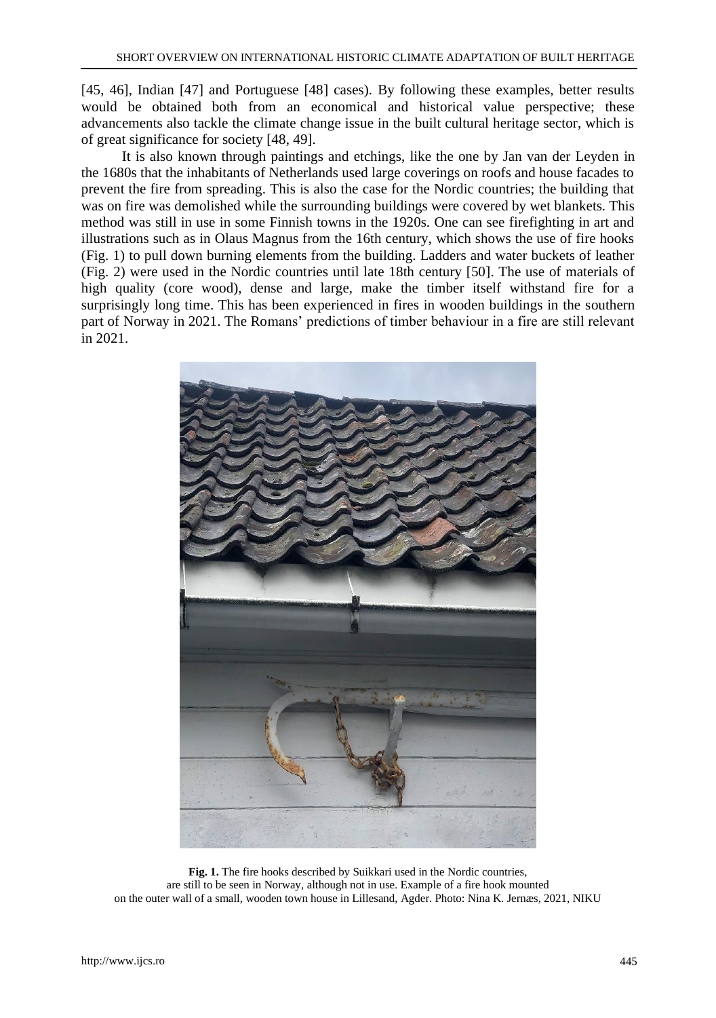[45, 46], Indian [47] and Portuguese [48] cases). By following these examples, better results would be obtained both from an economical and historical value perspective; these advancements also tackle the climate change issue in the built cultural heritage sector, which is of great significance for society [48, 49].

It is also known through paintings and etchings, like the one by Jan van der Leyden in the 1680s that the inhabitants of Netherlands used large coverings on roofs and house facades to prevent the fire from spreading. This is also the case for the Nordic countries; the building that was on fire was demolished while the surrounding buildings were covered by wet blankets. This method was still in use in some Finnish towns in the 1920s. One can see firefighting in art and illustrations such as in Olaus Magnus from the 16th century, which shows the use of fire hooks (Fig. 1) to pull down burning elements from the building. Ladders and water buckets of leather (Fig. 2) were used in the Nordic countries until late 18th century [50]. The use of materials of high quality (core wood), dense and large, make the timber itself withstand fire for a surprisingly long time. This has been experienced in fires in wooden buildings in the southern part of Norway in 2021. The Romans' predictions of timber behaviour in a fire are still relevant in 2021.



**Fig. 1.** The fire hooks described by Suikkari used in the Nordic countries, are still to be seen in Norway, although not in use. Example of a fire hook mounted on the outer wall of a small, wooden town house in Lillesand, Agder. Photo: Nina K. Jernæs, 2021, NIKU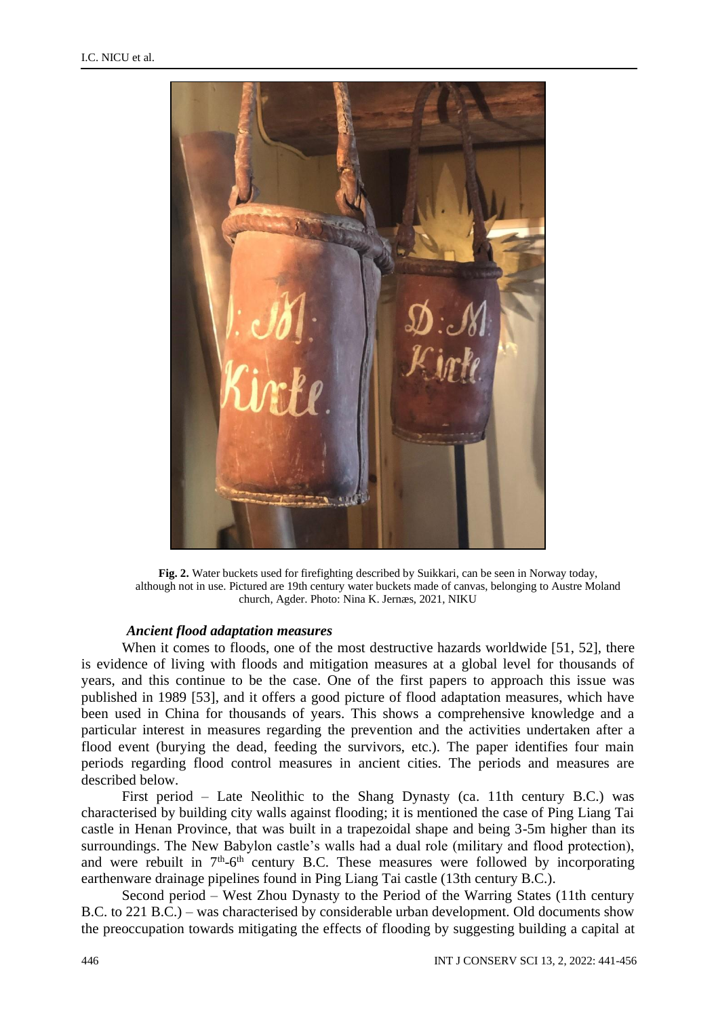

**Fig. 2.** Water buckets used for firefighting described by Suikkari, can be seen in Norway today, although not in use. Pictured are 19th century water buckets made of canvas, belonging to Austre Moland church, Agder. Photo: Nina K. Jernæs, 2021, NIKU

#### *Ancient flood adaptation measures*

When it comes to floods, one of the most destructive hazards worldwide [51, 52], there is evidence of living with floods and mitigation measures at a global level for thousands of years, and this continue to be the case. One of the first papers to approach this issue was published in 1989 [53], and it offers a good picture of flood adaptation measures, which have been used in China for thousands of years. This shows a comprehensive knowledge and a particular interest in measures regarding the prevention and the activities undertaken after a flood event (burying the dead, feeding the survivors, etc.). The paper identifies four main periods regarding flood control measures in ancient cities. The periods and measures are described below.

First period – Late Neolithic to the Shang Dynasty (ca. 11th century B.C.) was characterised by building city walls against flooding; it is mentioned the case of Ping Liang Tai castle in Henan Province, that was built in a trapezoidal shape and being 3-5m higher than its surroundings. The New Babylon castle's walls had a dual role (military and flood protection), and were rebuilt in  $7<sup>th</sup>$ -6<sup>th</sup> century B.C. These measures were followed by incorporating earthenware drainage pipelines found in Ping Liang Tai castle (13th century B.C.).

Second period – West Zhou Dynasty to the Period of the Warring States (11th century B.C. to 221 B.C.) – was characterised by considerable urban development. Old documents show the preoccupation towards mitigating the effects of flooding by suggesting building a capital at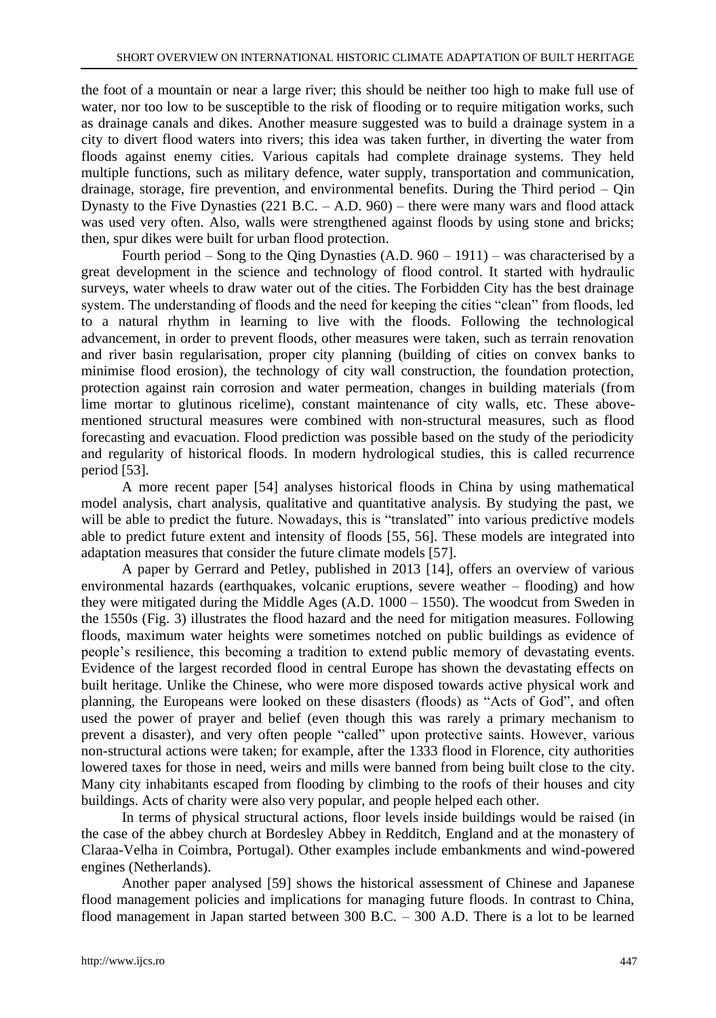the foot of a mountain or near a large river; this should be neither too high to make full use of water, nor too low to be susceptible to the risk of flooding or to require mitigation works, such as drainage canals and dikes. Another measure suggested was to build a drainage system in a city to divert flood waters into rivers; this idea was taken further, in diverting the water from floods against enemy cities. Various capitals had complete drainage systems. They held multiple functions, such as military defence, water supply, transportation and communication, drainage, storage, fire prevention, and environmental benefits. During the Third period – Qin Dynasty to the Five Dynasties (221 B.C. – A.D. 960) – there were many wars and flood attack was used very often. Also, walls were strengthened against floods by using stone and bricks; then, spur dikes were built for urban flood protection.

Fourth period – Song to the Qing Dynasties (A.D. 960 – 1911) – was characterised by a great development in the science and technology of flood control. It started with hydraulic surveys, water wheels to draw water out of the cities. The Forbidden City has the best drainage system. The understanding of floods and the need for keeping the cities "clean" from floods, led to a natural rhythm in learning to live with the floods. Following the technological advancement, in order to prevent floods, other measures were taken, such as terrain renovation and river basin regularisation, proper city planning (building of cities on convex banks to minimise flood erosion), the technology of city wall construction, the foundation protection, protection against rain corrosion and water permeation, changes in building materials (from lime mortar to glutinous ricelime), constant maintenance of city walls, etc. These abovementioned structural measures were combined with non-structural measures, such as flood forecasting and evacuation. Flood prediction was possible based on the study of the periodicity and regularity of historical floods. In modern hydrological studies, this is called recurrence period [53].

A more recent paper [54] analyses historical floods in China by using mathematical model analysis, chart analysis, qualitative and quantitative analysis. By studying the past, we will be able to predict the future. Nowadays, this is "translated" into various predictive models able to predict future extent and intensity of floods [55, 56]. These models are integrated into adaptation measures that consider the future climate models [57].

A paper by Gerrard and Petley, published in 2013 [14], offers an overview of various environmental hazards (earthquakes, volcanic eruptions, severe weather – flooding) and how they were mitigated during the Middle Ages (A.D. 1000 – 1550). The woodcut from Sweden in the 1550s (Fig. 3) illustrates the flood hazard and the need for mitigation measures. Following floods, maximum water heights were sometimes notched on public buildings as evidence of people's resilience, this becoming a tradition to extend public memory of devastating events. Evidence of the largest recorded flood in central Europe has shown the devastating effects on built heritage. Unlike the Chinese, who were more disposed towards active physical work and planning, the Europeans were looked on these disasters (floods) as "Acts of God", and often used the power of prayer and belief (even though this was rarely a primary mechanism to prevent a disaster), and very often people "called" upon protective saints. However, various non-structural actions were taken; for example, after the 1333 flood in Florence, city authorities lowered taxes for those in need, weirs and mills were banned from being built close to the city. Many city inhabitants escaped from flooding by climbing to the roofs of their houses and city buildings. Acts of charity were also very popular, and people helped each other.

In terms of physical structural actions, floor levels inside buildings would be raised (in the case of the abbey church at Bordesley Abbey in Redditch, England and at the monastery of Claraa-Velha in Coimbra, Portugal). Other examples include embankments and wind-powered engines (Netherlands).

Another paper analysed [59] shows the historical assessment of Chinese and Japanese flood management policies and implications for managing future floods. In contrast to China, flood management in Japan started between 300 B.C. – 300 A.D. There is a lot to be learned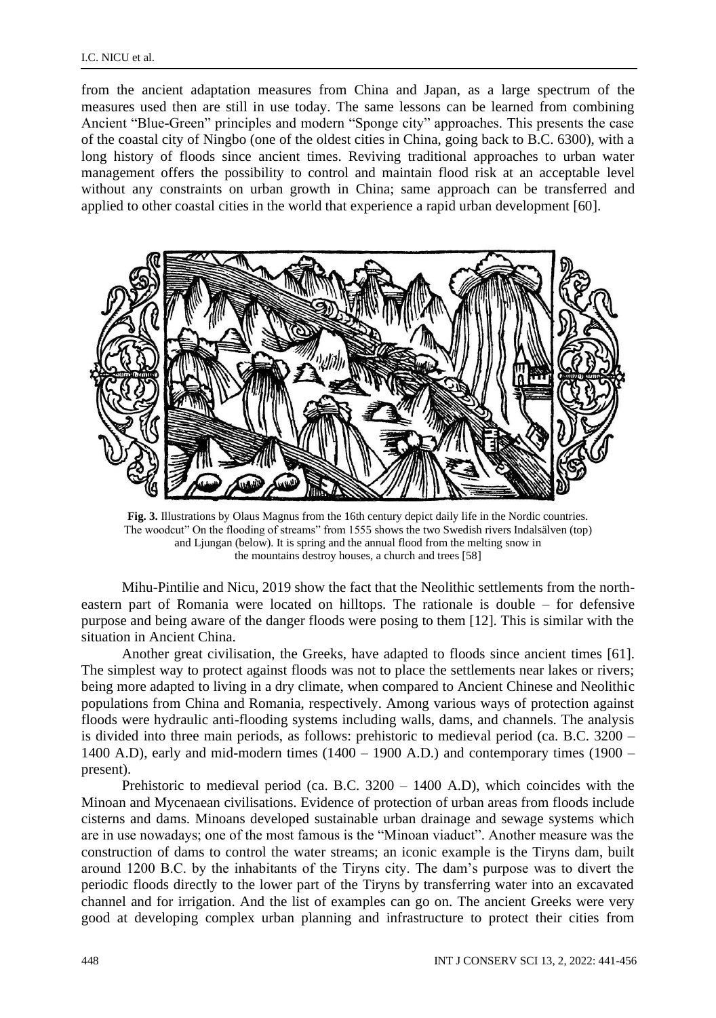from the ancient adaptation measures from China and Japan, as a large spectrum of the measures used then are still in use today. The same lessons can be learned from combining Ancient "Blue-Green" principles and modern "Sponge city" approaches. This presents the case of the coastal city of Ningbo (one of the oldest cities in China, going back to B.C. 6300), with a long history of floods since ancient times. Reviving traditional approaches to urban water management offers the possibility to control and maintain flood risk at an acceptable level without any constraints on urban growth in China; same approach can be transferred and applied to other coastal cities in the world that experience a rapid urban development [60].



**Fig. 3.** Illustrations by Olaus Magnus from the 16th century depict daily life in the Nordic countries. The woodcut" On the flooding of streams" from 1555 shows the two Swedish rivers Indalsälven (top) and Ljungan (below). It is spring and the annual flood from the melting snow in the mountains destroy houses, a church and trees [58]

Mihu-Pintilie and Nicu, 2019 show the fact that the Neolithic settlements from the northeastern part of Romania were located on hilltops. The rationale is double – for defensive purpose and being aware of the danger floods were posing to them [12]. This is similar with the situation in Ancient China.

Another great civilisation, the Greeks, have adapted to floods since ancient times [61]. The simplest way to protect against floods was not to place the settlements near lakes or rivers; being more adapted to living in a dry climate, when compared to Ancient Chinese and Neolithic populations from China and Romania, respectively. Among various ways of protection against floods were hydraulic anti-flooding systems including walls, dams, and channels. The analysis is divided into three main periods, as follows: prehistoric to medieval period (ca. B.C. 3200 – 1400 A.D), early and mid-modern times  $(1400 - 1900$  A.D.) and contemporary times  $(1900$ present).

Prehistoric to medieval period (ca. B.C. 3200 – 1400 A.D), which coincides with the Minoan and Mycenaean civilisations. Evidence of protection of urban areas from floods include cisterns and dams. Minoans developed sustainable urban drainage and sewage systems which are in use nowadays; one of the most famous is the "Minoan viaduct". Another measure was the construction of dams to control the water streams; an iconic example is the Tiryns dam, built around 1200 B.C. by the inhabitants of the Tiryns city. The dam's purpose was to divert the periodic floods directly to the lower part of the Tiryns by transferring water into an excavated channel and for irrigation. And the list of examples can go on. The ancient Greeks were very good at developing complex urban planning and infrastructure to protect their cities from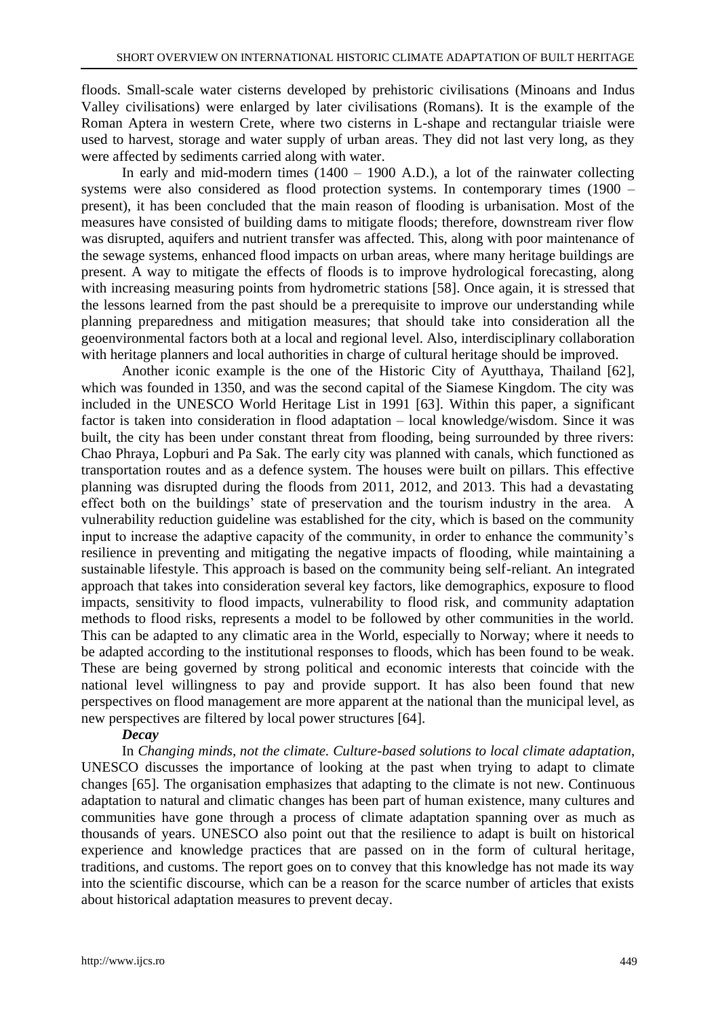floods. Small-scale water cisterns developed by prehistoric civilisations (Minoans and Indus Valley civilisations) were enlarged by later civilisations (Romans). It is the example of the Roman Aptera in western Crete, where two cisterns in L-shape and rectangular triaisle were used to harvest, storage and water supply of urban areas. They did not last very long, as they were affected by sediments carried along with water.

In early and mid-modern times  $(1400 - 1900 \text{ A.D.})$ , a lot of the rainwater collecting systems were also considered as flood protection systems. In contemporary times (1900 – present), it has been concluded that the main reason of flooding is urbanisation. Most of the measures have consisted of building dams to mitigate floods; therefore, downstream river flow was disrupted, aquifers and nutrient transfer was affected. This, along with poor maintenance of the sewage systems, enhanced flood impacts on urban areas, where many heritage buildings are present. A way to mitigate the effects of floods is to improve hydrological forecasting, along with increasing measuring points from hydrometric stations [58]. Once again, it is stressed that the lessons learned from the past should be a prerequisite to improve our understanding while planning preparedness and mitigation measures; that should take into consideration all the geoenvironmental factors both at a local and regional level. Also, interdisciplinary collaboration with heritage planners and local authorities in charge of cultural heritage should be improved.

Another iconic example is the one of the Historic City of Ayutthaya, Thailand [62], which was founded in 1350, and was the second capital of the Siamese Kingdom. The city was included in the UNESCO World Heritage List in 1991 [63]. Within this paper, a significant factor is taken into consideration in flood adaptation – local knowledge/wisdom. Since it was built, the city has been under constant threat from flooding, being surrounded by three rivers: Chao Phraya, Lopburi and Pa Sak. The early city was planned with canals, which functioned as transportation routes and as a defence system. The houses were built on pillars. This effective planning was disrupted during the floods from 2011, 2012, and 2013. This had a devastating effect both on the buildings' state of preservation and the tourism industry in the area. A vulnerability reduction guideline was established for the city, which is based on the community input to increase the adaptive capacity of the community, in order to enhance the community's resilience in preventing and mitigating the negative impacts of flooding, while maintaining a sustainable lifestyle. This approach is based on the community being self-reliant. An integrated approach that takes into consideration several key factors, like demographics, exposure to flood impacts, sensitivity to flood impacts, vulnerability to flood risk, and community adaptation methods to flood risks, represents a model to be followed by other communities in the world. This can be adapted to any climatic area in the World, especially to Norway; where it needs to be adapted according to the institutional responses to floods, which has been found to be weak. These are being governed by strong political and economic interests that coincide with the national level willingness to pay and provide support. It has also been found that new perspectives on flood management are more apparent at the national than the municipal level, as new perspectives are filtered by local power structures [64].

#### *Decay*

In *Changing minds, not the climate. Culture-based solutions to local climate adaptation*, UNESCO discusses the importance of looking at the past when trying to adapt to climate changes [65]. The organisation emphasizes that adapting to the climate is not new. Continuous adaptation to natural and climatic changes has been part of human existence, many cultures and communities have gone through a process of climate adaptation spanning over as much as thousands of years. UNESCO also point out that the resilience to adapt is built on historical experience and knowledge practices that are passed on in the form of cultural heritage, traditions, and customs. The report goes on to convey that this knowledge has not made its way into the scientific discourse, which can be a reason for the scarce number of articles that exists about historical adaptation measures to prevent decay.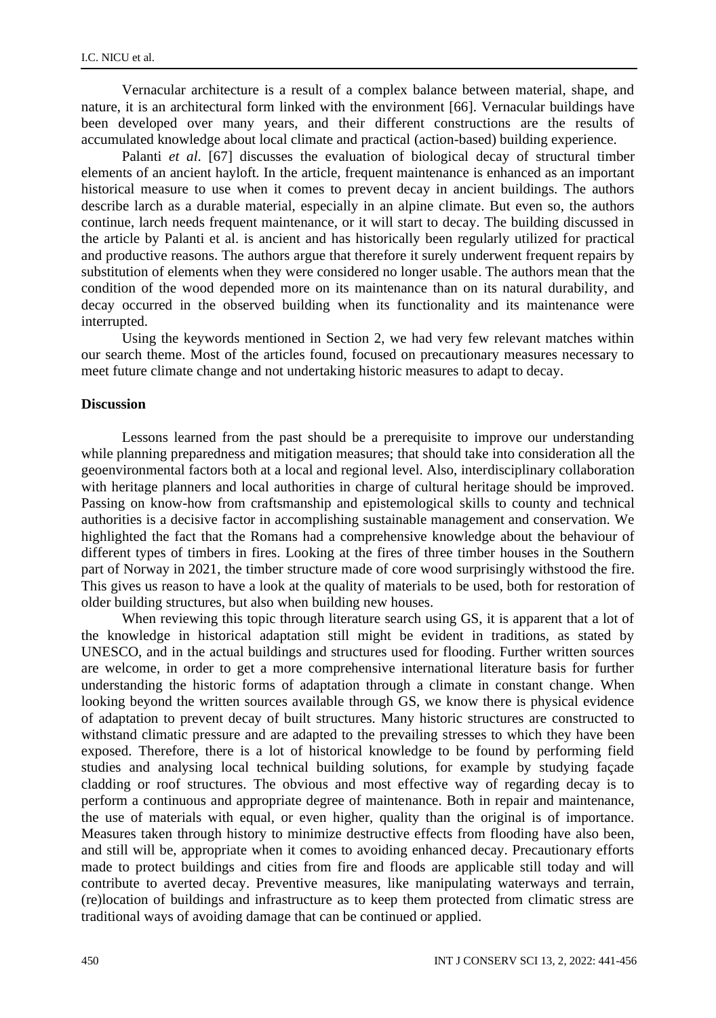Vernacular architecture is a result of a complex balance between material, shape, and nature, it is an architectural form linked with the environment [66]. Vernacular buildings have been developed over many years, and their different constructions are the results of accumulated knowledge about local climate and practical (action-based) building experience.

Palanti *et al*. [67] discusses the evaluation of biological decay of structural timber elements of an ancient hayloft. In the article, frequent maintenance is enhanced as an important historical measure to use when it comes to prevent decay in ancient buildings. The authors describe larch as a durable material, especially in an alpine climate. But even so, the authors continue, larch needs frequent maintenance, or it will start to decay. The building discussed in the article by Palanti et al. is ancient and has historically been regularly utilized for practical and productive reasons. The authors argue that therefore it surely underwent frequent repairs by substitution of elements when they were considered no longer usable. The authors mean that the condition of the wood depended more on its maintenance than on its natural durability, and decay occurred in the observed building when its functionality and its maintenance were interrupted.

Using the keywords mentioned in Section 2, we had very few relevant matches within our search theme. Most of the articles found, focused on precautionary measures necessary to meet future climate change and not undertaking historic measures to adapt to decay.

#### **Discussion**

Lessons learned from the past should be a prerequisite to improve our understanding while planning preparedness and mitigation measures; that should take into consideration all the geoenvironmental factors both at a local and regional level. Also, interdisciplinary collaboration with heritage planners and local authorities in charge of cultural heritage should be improved. Passing on know-how from craftsmanship and epistemological skills to county and technical authorities is a decisive factor in accomplishing sustainable management and conservation. We highlighted the fact that the Romans had a comprehensive knowledge about the behaviour of different types of timbers in fires. Looking at the fires of three timber houses in the Southern part of Norway in 2021, the timber structure made of core wood surprisingly withstood the fire. This gives us reason to have a look at the quality of materials to be used, both for restoration of older building structures, but also when building new houses.

When reviewing this topic through literature search using GS, it is apparent that a lot of the knowledge in historical adaptation still might be evident in traditions, as stated by UNESCO, and in the actual buildings and structures used for flooding. Further written sources are welcome, in order to get a more comprehensive international literature basis for further understanding the historic forms of adaptation through a climate in constant change. When looking beyond the written sources available through GS, we know there is physical evidence of adaptation to prevent decay of built structures. Many historic structures are constructed to withstand climatic pressure and are adapted to the prevailing stresses to which they have been exposed. Therefore, there is a lot of historical knowledge to be found by performing field studies and analysing local technical building solutions, for example by studying façade cladding or roof structures. The obvious and most effective way of regarding decay is to perform a continuous and appropriate degree of maintenance. Both in repair and maintenance, the use of materials with equal, or even higher, quality than the original is of importance. Measures taken through history to minimize destructive effects from flooding have also been, and still will be, appropriate when it comes to avoiding enhanced decay. Precautionary efforts made to protect buildings and cities from fire and floods are applicable still today and will contribute to averted decay. Preventive measures, like manipulating waterways and terrain, (re)location of buildings and infrastructure as to keep them protected from climatic stress are traditional ways of avoiding damage that can be continued or applied.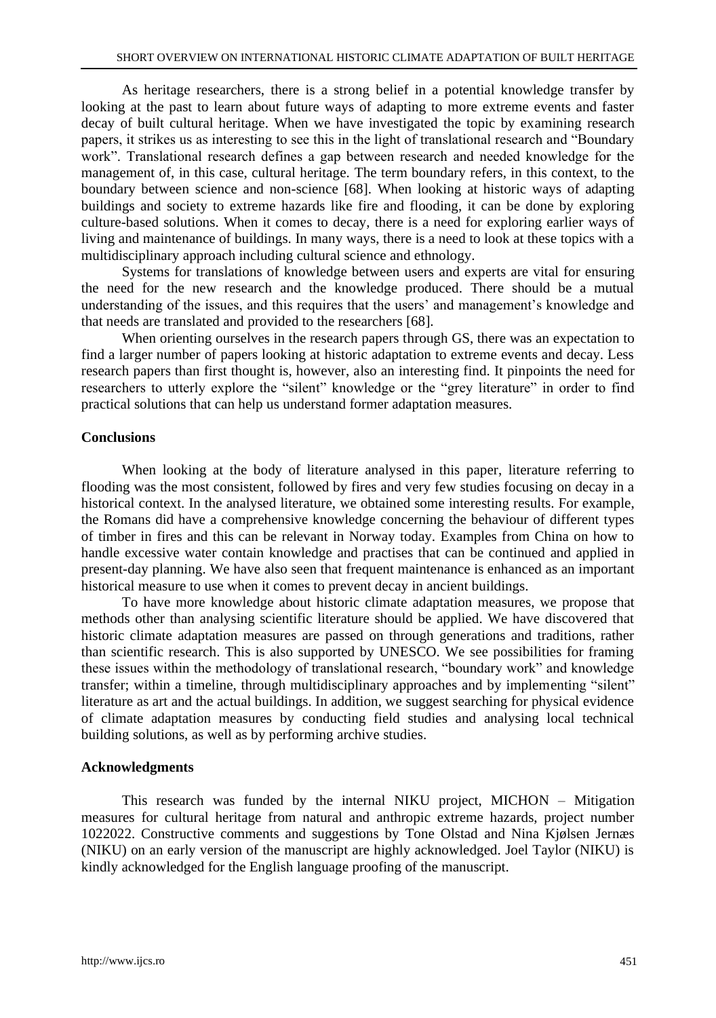As heritage researchers, there is a strong belief in a potential knowledge transfer by looking at the past to learn about future ways of adapting to more extreme events and faster decay of built cultural heritage. When we have investigated the topic by examining research papers, it strikes us as interesting to see this in the light of translational research and "Boundary work". Translational research defines a gap between research and needed knowledge for the management of, in this case, cultural heritage. The term boundary refers, in this context, to the boundary between science and non-science [68]. When looking at historic ways of adapting buildings and society to extreme hazards like fire and flooding, it can be done by exploring culture-based solutions. When it comes to decay, there is a need for exploring earlier ways of living and maintenance of buildings. In many ways, there is a need to look at these topics with a multidisciplinary approach including cultural science and ethnology.

Systems for translations of knowledge between users and experts are vital for ensuring the need for the new research and the knowledge produced. There should be a mutual understanding of the issues, and this requires that the users' and management's knowledge and that needs are translated and provided to the researchers [68].

When orienting ourselves in the research papers through GS, there was an expectation to find a larger number of papers looking at historic adaptation to extreme events and decay. Less research papers than first thought is, however, also an interesting find. It pinpoints the need for researchers to utterly explore the "silent" knowledge or the "grey literature" in order to find practical solutions that can help us understand former adaptation measures.

## **Conclusions**

When looking at the body of literature analysed in this paper, literature referring to flooding was the most consistent, followed by fires and very few studies focusing on decay in a historical context. In the analysed literature, we obtained some interesting results. For example, the Romans did have a comprehensive knowledge concerning the behaviour of different types of timber in fires and this can be relevant in Norway today. Examples from China on how to handle excessive water contain knowledge and practises that can be continued and applied in present-day planning. We have also seen that frequent maintenance is enhanced as an important historical measure to use when it comes to prevent decay in ancient buildings.

To have more knowledge about historic climate adaptation measures, we propose that methods other than analysing scientific literature should be applied. We have discovered that historic climate adaptation measures are passed on through generations and traditions, rather than scientific research. This is also supported by UNESCO. We see possibilities for framing these issues within the methodology of translational research, "boundary work" and knowledge transfer; within a timeline, through multidisciplinary approaches and by implementing "silent" literature as art and the actual buildings. In addition, we suggest searching for physical evidence of climate adaptation measures by conducting field studies and analysing local technical building solutions, as well as by performing archive studies.

## **Acknowledgments**

This research was funded by the internal NIKU project, MICHON – Mitigation measures for cultural heritage from natural and anthropic extreme hazards, project number 1022022. Constructive comments and suggestions by Tone Olstad and Nina Kjølsen Jernæs (NIKU) on an early version of the manuscript are highly acknowledged. Joel Taylor (NIKU) is kindly acknowledged for the English language proofing of the manuscript.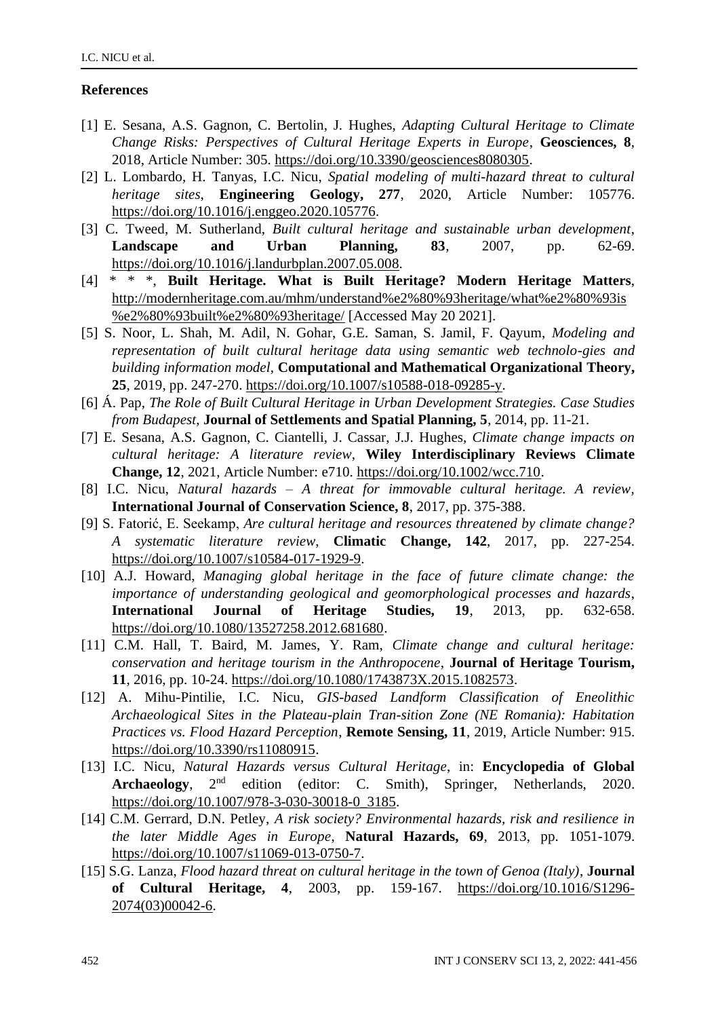# **References**

- [1] E. Sesana, A.S. Gagnon, C. Bertolin, J. Hughes, *Adapting Cultural Heritage to Climate Change Risks: Perspectives of Cultural Heritage Experts in Europe*, **Geosciences, 8**, 2018, Article Number: 305. [https://doi.org/10.3390/geosciences8080305.](https://doi.org/10.3390/geosciences8080305)
- [2] L. Lombardo, H. Tanyas, I.C. Nicu, *Spatial modeling of multi-hazard threat to cultural heritage sites*, **Engineering Geology, 277**, 2020, Article Number: 105776. [https://doi.org/10.1016/j.enggeo.2020.105776.](https://doi.org/10.1016/j.enggeo.2020.105776)
- [3] C. Tweed, M. Sutherland, *Built cultural heritage and sustainable urban development*, **Landscape and Urban Planning, 83**, 2007, pp. 62-69. [https://doi.org/10.1016/j.landurbplan.2007.05.008.](https://doi.org/10.1016/j.landurbplan.2007.05.008)
- [4] \* \* \*, **Built Heritage. What is Built Heritage? Modern Heritage Matters**, [http://modernheritage.com.au/mhm/understand%e2%80%93heritage/what%e2%80%93is](http://modernheritage.com.au/mhm/understand%e2%80%93heritage/what%e2%80%93is%e2%80%93built%e2%80%93heritage/) [%e2%80%93built%e2%80%93heritage/](http://modernheritage.com.au/mhm/understand%e2%80%93heritage/what%e2%80%93is%e2%80%93built%e2%80%93heritage/) [Accessed May 20 2021].
- [5] S. Noor, L. Shah, M. Adil, N. Gohar, G.E. Saman, S. Jamil, F. Qayum, *Modeling and representation of built cultural heritage data using semantic web technolo-gies and building information model*, **Computational and Mathematical Organizational Theory, 25**, 2019, pp. 247-270. [https://doi.org/10.1007/s10588-018-09285-y.](https://doi.org/10.1007/s10588-018-09285-y)
- [6] Á. Pap, *The Role of Built Cultural Heritage in Urban Development Strategies. Case Studies from Budapest*, **Journal of Settlements and Spatial Planning, 5**, 2014, pp. 11-21.
- [7] E. Sesana, A.S. Gagnon, C. Ciantelli, J. Cassar, J.J. Hughes, *Climate change impacts on cultural heritage: A literature review*, **Wiley Interdisciplinary Reviews Climate Change, 12**, 2021, Article Number: e710[. https://doi.org/10.1002/wcc.710.](https://doi.org/10.1002/wcc.710)
- [8] I.C. Nicu, *Natural hazards – A threat for immovable cultural heritage. A review*, **International Journal of Conservation Science, 8**, 2017, pp. 375-388.
- [9] S. Fatorić, E. Seekamp, *Are cultural heritage and resources threatened by climate change? A systematic literature review*, **Climatic Change, 142**, 2017, pp. 227-254. [https://doi.org/10.1007/s10584-017-1929-9.](https://doi.org/10.1007/s10584-017-1929-9)
- [10] A.J. Howard, *Managing global heritage in the face of future climate change: the importance of understanding geological and geomorphological processes and hazards*, **International Journal of Heritage Studies, 19**, 2013, pp. 632-658. [https://doi.org/10.1080/13527258.2012.681680.](https://doi.org/10.1080/13527258.2012.681680)
- [11] C.M. Hall, T. Baird, M. James, Y. Ram, *Climate change and cultural heritage: conservation and heritage tourism in the Anthropocene*, **Journal of Heritage Tourism, 11**, 2016, pp. 10-24. [https://doi.org/10.1080/1743873X.2015.1082573.](https://doi.org/10.1080/1743873X.2015.1082573)
- [12] A. Mihu-Pintilie, I.C. Nicu, *GIS-based Landform Classification of Eneolithic Archaeological Sites in the Plateau-plain Tran-sition Zone (NE Romania): Habitation Practices vs. Flood Hazard Perception*, **Remote Sensing, 11**, 2019, Article Number: 915. [https://doi.org/10.3390/rs11080915.](https://doi.org/10.3390/rs11080915)
- [13] I.C. Nicu, *Natural Hazards versus Cultural Heritage*, in: **Encyclopedia of Global Archaeology**, 2nd edition (editor: C. Smith), Springer, Netherlands, 2020. [https://doi.org/10.1007/978-3-030-30018-0\\_3185.](https://doi.org/10.1007/978-3-030-30018-0_3185)
- [14] C.M. Gerrard, D.N. Petley, *A risk society? Environmental hazards, risk and resilience in the later Middle Ages in Europe*, **Natural Hazards, 69**, 2013, pp. 1051-1079. [https://doi.org/10.1007/s11069-013-0750-7.](https://doi.org/10.1007/s11069-013-0750-7)
- [15] S.G. Lanza, *Flood hazard threat on cultural heritage in the town of Genoa (Italy)*, **Journal of Cultural Heritage, 4**, 2003, pp. 159-167. [https://doi.org/10.1016/S1296-](https://doi.org/10.1016/S1296-2074(03)00042-6) [2074\(03\)00042-6.](https://doi.org/10.1016/S1296-2074(03)00042-6)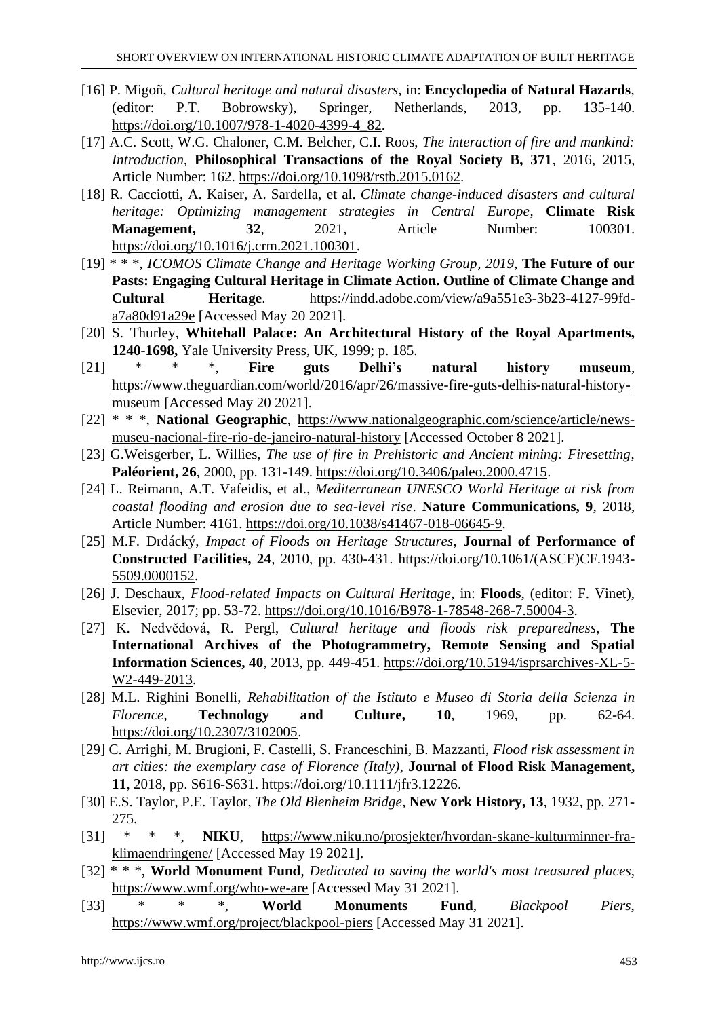- [16] P. Migoñ, *Cultural heritage and natural disasters*, in: **Encyclopedia of Natural Hazards**, (editor: P.T. Bobrowsky), Springer, Netherlands, 2013, pp. 135-140. [https://doi.org/10.1007/978-1-4020-4399-4\\_82.](https://doi.org/10.1007/978-1-4020-4399-4_82)
- [17] A.C. Scott, W.G. Chaloner, C.M. Belcher, C.I. Roos, *The interaction of fire and mankind: Introduction*, **Philosophical Transactions of the Royal Society B, 371**, 2016, 2015, Article Number: 162. [https://doi.org/10.1098/rstb.2015.0162.](https://doi.org/10.1098/rstb.2015.0162)
- [18] R. Cacciotti, A. Kaiser, A. Sardella, et al. *Climate change-induced disasters and cultural heritage: Optimizing management strategies in Central Europe*, **Climate Risk Management, 32, 2021, Article Number: 100301.** [https://doi.org/10.1016/j.crm.2021.100301.](https://doi.org/10.1016/j.crm.2021.100301)
- [19] \* \* \*, *ICOMOS Climate Change and Heritage Working Group, 2019*, **The Future of our Pasts: Engaging Cultural Heritage in Climate Action. Outline of Climate Change and Cultural Heritage**. [https://indd.adobe.com/view/a9a551e3-3b23-4127-99fd](https://indd.adobe.com/view/a9a551e3-3b23-4127-99fd-a7a80d91a29e)[a7a80d91a29e](https://indd.adobe.com/view/a9a551e3-3b23-4127-99fd-a7a80d91a29e) [Accessed May 20 2021].
- [20] S. Thurley, **Whitehall Palace: An Architectural History of the Royal Apartments, 1240-1698,** Yale University Press, UK, 1999; p. 185.
- [21] \* \* \*, **Fire guts Delhi's natural history museum**, [https://www.theguardian.com/world/2016/apr/26/massive-fire-guts-delhis-natural-history](https://www.theguardian.com/world/2016/apr/26/massive-fire-guts-delhis-natural-history-museum)[museum](https://www.theguardian.com/world/2016/apr/26/massive-fire-guts-delhis-natural-history-museum) [Accessed May 20 2021].
- [22] \* \* \*, **National Geographic**, [https://www.nationalgeographic.com/science/article/news](https://www.nationalgeographic.com/science/article/news-museu-nacional-fire-rio-de-janeiro-natural-history)[museu-nacional-fire-rio-de-janeiro-natural-history](https://www.nationalgeographic.com/science/article/news-museu-nacional-fire-rio-de-janeiro-natural-history) [Accessed October 8 2021].
- [23] G.Weisgerber, L. Willies, *The use of fire in Prehistoric and Ancient mining: Firesetting*, **Paléorient, 26**, 2000, pp. 131-149. [https://doi.org/10.3406/paleo.2000.4715.](https://doi.org/10.3406/paleo.2000.4715)
- [24] L. Reimann, A.T. Vafeidis, et al., *Mediterranean UNESCO World Heritage at risk from coastal flooding and erosion due to sea-level rise*. **Nature Communications, 9**, 2018, Article Number: 4161. [https://doi.org/10.1038/s41467-018-06645-9.](https://doi.org/10.1038/s41467-018-06645-9)
- [25] M.F. Drdácký, *Impact of Floods on Heritage Structures*, **Journal of Performance of Constructed Facilities, 24**, 2010, pp. 430-431. [https://doi.org/10.1061/\(ASCE\)CF.1943-](https://doi.org/10.1061/(ASCE)CF.1943-5509.0000152) [5509.0000152.](https://doi.org/10.1061/(ASCE)CF.1943-5509.0000152)
- [26] J. Deschaux, *Flood-related Impacts on Cultural Heritage*, in: **Floods**, (editor: F. Vinet), Elsevier, 2017; pp. 53-72[. https://doi.org/10.1016/B978-1-78548-268-7.50004-3.](https://doi.org/10.1016/B978-1-78548-268-7.50004-3)
- [27] K. Nedvědová, R. Pergl, *Cultural heritage and floods risk preparedness*, **The International Archives of the Photogrammetry, Remote Sensing and Spatial Information Sciences, 40**, 2013, pp. 449-451. [https://doi.org/10.5194/isprsarchives-XL-5-](https://doi.org/10.5194/isprsarchives-XL-5-W2-449-2013) [W2-449-2013.](https://doi.org/10.5194/isprsarchives-XL-5-W2-449-2013)
- [28] M.L. Righini Bonelli, *Rehabilitation of the Istituto e Museo di Storia della Scienza in Florence*, **Technology and Culture, 10**, 1969, pp. 62-64. [https://doi.org/10.2307/3102005.](https://doi.org/10.2307/3102005)
- [29] C. Arrighi, M. Brugioni, F. Castelli, S. Franceschini, B. Mazzanti, *Flood risk assessment in art cities: the exemplary case of Florence (Italy)*, **Journal of Flood Risk Management, 11**, 2018, pp. S616-S631[. https://doi.org/10.1111/jfr3.12226.](https://doi.org/10.1111/jfr3.12226)
- [30] E.S. Taylor, P.E. Taylor, *The Old Blenheim Bridge*, **New York History, 13**, 1932, pp. 271- 275.
- [31] \* \* \*, **NIKU**, [https://www.niku.no/prosjekter/hvordan-skane-kulturminner-fra](https://www.niku.no/prosjekter/hvordan-skane-kulturminner-fra-klimaendringene/)[klimaendringene/](https://www.niku.no/prosjekter/hvordan-skane-kulturminner-fra-klimaendringene/) [Accessed May 19 2021].
- [32] \* \* \*, **World Monument Fund**, *Dedicated to saving the world's most treasured places*, <https://www.wmf.org/who-we-are> [Accessed May 31 2021].
- [33] \* \* \*, **World Monuments Fund**, *Blackpool Piers*, <https://www.wmf.org/project/blackpool-piers> [Accessed May 31 2021].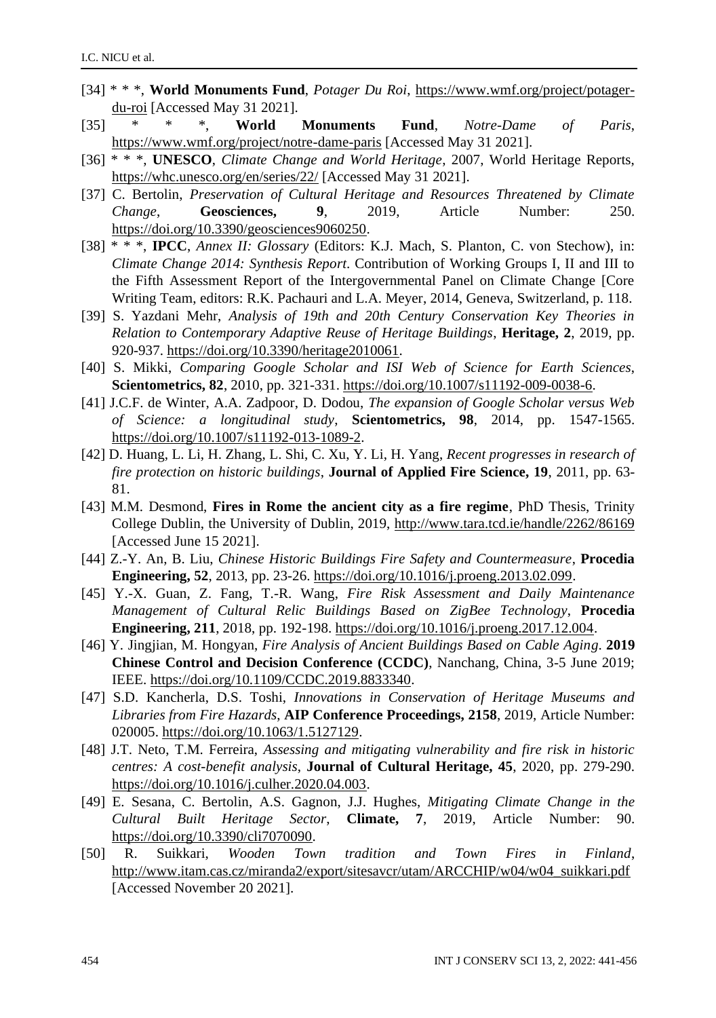- [34] \* \* \*, **World Monuments Fund**, *Potager Du Roi*, [https://www.wmf.org/project/potager](https://www.wmf.org/project/potager-du-roi)[du-roi](https://www.wmf.org/project/potager-du-roi) [Accessed May 31 2021].
- [35] \* \* \*, **World Monuments Fund**, *Notre-Dame of Paris*, <https://www.wmf.org/project/notre-dame-paris> [Accessed May 31 2021].
- [36] \* \* \*, **UNESCO**, *Climate Change and World Heritage*, 2007, World Heritage Reports, <https://whc.unesco.org/en/series/22/> [Accessed May 31 2021].
- [37] C. Bertolin, *Preservation of Cultural Heritage and Resources Threatened by Climate Change*, **Geosciences, 9**, 2019, Article Number: 250. [https://doi.org/10.3390/geosciences9060250.](https://doi.org/10.3390/geosciences9060250)
- [38] \* \* \*, **IPCC**, *Annex II: Glossary* (Editors: K.J. Mach, S. Planton, C. von Stechow), in: *Climate Change 2014: Synthesis Report*. Contribution of Working Groups I, II and III to the Fifth Assessment Report of the Intergovernmental Panel on Climate Change [Core Writing Team, editors: R.K. Pachauri and L.A. Meyer, 2014, Geneva, Switzerland, p. 118.
- [39] S. Yazdani Mehr, *Analysis of 19th and 20th Century Conservation Key Theories in Relation to Contemporary Adaptive Reuse of Heritage Buildings*, **Heritage, 2**, 2019, pp. 920-937. [https://doi.org/10.3390/heritage2010061.](https://doi.org/10.3390/heritage2010061)
- [40] S. Mikki, *Comparing Google Scholar and ISI Web of Science for Earth Sciences*, **Scientometrics, 82**, 2010, pp. 321-331. [https://doi.org/10.1007/s11192-009-0038-6.](https://doi.org/10.1007/s11192-009-0038-6)
- [41] J.C.F. de Winter, A.A. Zadpoor, D. Dodou, *The expansion of Google Scholar versus Web of Science: a longitudinal study*, **Scientometrics, 98**, 2014, pp. 1547-1565. [https://doi.org/10.1007/s11192-013-1089-2.](https://doi.org/10.1007/s11192-013-1089-2)
- [42] D. Huang, L. Li, H. Zhang, L. Shi, C. Xu, Y. Li, H. Yang, *Recent progresses in research of fire protection on historic buildings*, **Journal of Applied Fire Science, 19**, 2011, pp. 63- 81.
- [43] M.M. Desmond, **Fires in Rome the ancient city as a fire regime**, PhD Thesis, Trinity College Dublin, the University of Dublin, 2019, <http://www.tara.tcd.ie/handle/2262/86169> [Accessed June 15 2021].
- [44] Z.-Y. An, B. Liu, *Chinese Historic Buildings Fire Safety and Countermeasure*, **Procedia Engineering, 52**, 2013, pp. 23-26[. https://doi.org/10.1016/j.proeng.2013.02.099.](https://doi.org/10.1016/j.proeng.2013.02.099)
- [45] Y.-X. Guan, Z. Fang, T.-R. Wang, *Fire Risk Assessment and Daily Maintenance Management of Cultural Relic Buildings Based on ZigBee Technology*, **Procedia Engineering, 211**, 2018, pp. 192-198[. https://doi.org/10.1016/j.proeng.2017.12.004.](https://doi.org/10.1016/j.proeng.2017.12.004)
- [46] Y. Jingjian, M. Hongyan, *Fire Analysis of Ancient Buildings Based on Cable Aging*. **2019 Chinese Control and Decision Conference (CCDC)**, Nanchang, China, 3-5 June 2019; IEEE[. https://doi.org/10.1109/CCDC.2019.8833340.](https://doi.org/10.1109/CCDC.2019.8833340)
- [47] S.D. Kancherla, D.S. Toshi, *Innovations in Conservation of Heritage Museums and Libraries from Fire Hazards*, **AIP Conference Proceedings, 2158**, 2019, Article Number: 020005. [https://doi.org/10.1063/1.5127129.](https://doi.org/10.1063/1.5127129)
- [48] J.T. Neto, T.M. Ferreira, *Assessing and mitigating vulnerability and fire risk in historic centres: A cost-benefit analysis*, **Journal of Cultural Heritage, 45**, 2020, pp. 279-290. [https://doi.org/10.1016/j.culher.2020.04.003.](https://doi.org/10.1016/j.culher.2020.04.003)
- [49] E. Sesana, C. Bertolin, A.S. Gagnon, J.J. Hughes, *Mitigating Climate Change in the Cultural Built Heritage Sector*, **Climate, 7**, 2019, Article Number: 90. [https://doi.org/10.3390/cli7070090.](https://doi.org/10.3390/cli7070090)
- [50] R. Suikkari, *Wooden Town tradition and Town Fires in Finland*, [http://www.itam.cas.cz/miranda2/export/sitesavcr/utam/ARCCHIP/w04/w04\\_suikkari.pdf](http://www.itam.cas.cz/miranda2/export/sitesavcr/utam/ARCCHIP/w04/w04_suikkari.pdf) [Accessed November 20 2021].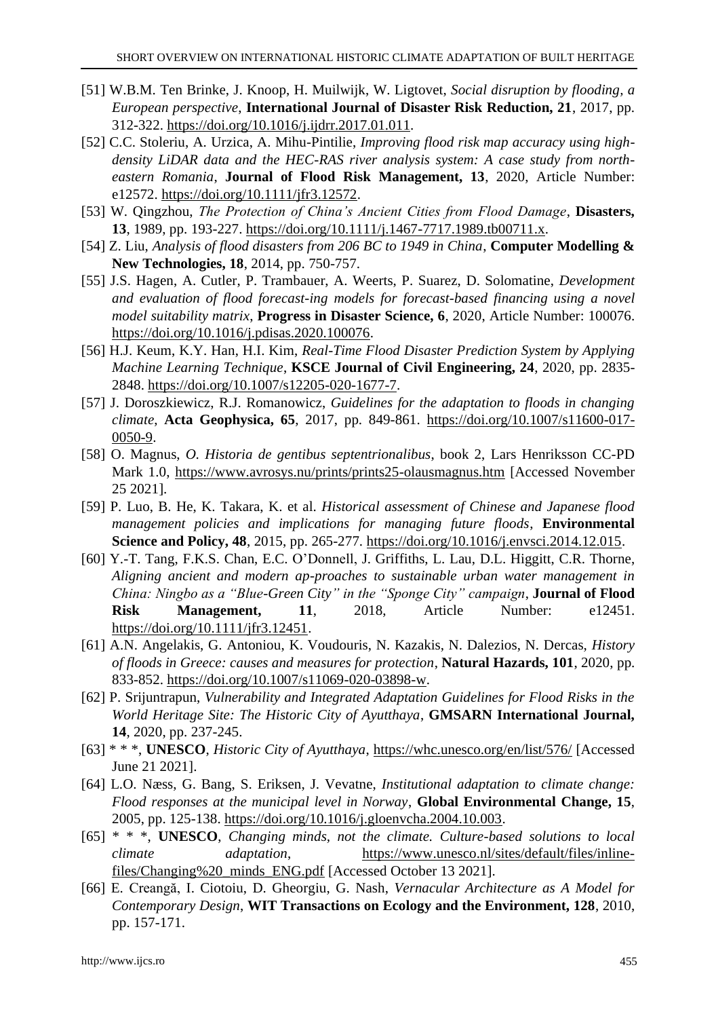- [51] W.B.M. Ten Brinke, J. Knoop, H. Muilwijk, W. Ligtovet, *Social disruption by flooding, a European perspective*, **International Journal of Disaster Risk Reduction, 21**, 2017, pp. 312-322. [https://doi.org/10.1016/j.ijdrr.2017.01.011.](https://doi.org/10.1016/j.ijdrr.2017.01.011)
- [52] C.C. Stoleriu, A. Urzica, A. Mihu-Pintilie, *Improving flood risk map accuracy using highdensity LiDAR data and the HEC-RAS river analysis system: A case study from northeastern Romania*, **Journal of Flood Risk Management, 13**, 2020, Article Number: e12572. [https://doi.org/10.1111/jfr3.12572.](https://doi.org/10.1111/jfr3.12572)
- [53] W. Qingzhou, *The Protection of China's Ancient Cities from Flood Damage*, **Disasters, 13**, 1989, pp. 193-227. [https://doi.org/10.1111/j.1467-7717.1989.tb00711.x.](https://doi.org/10.1111/j.1467-7717.1989.tb00711.x)
- [54] Z. Liu, *Analysis of flood disasters from 206 BC to 1949 in China*, **Computer Modelling & New Technologies, 18**, 2014, pp. 750-757.
- [55] J.S. Hagen, A. Cutler, P. Trambauer, A. Weerts, P. Suarez, D. Solomatine, *Development and evaluation of flood forecast-ing models for forecast-based financing using a novel model suitability matrix*, **Progress in Disaster Science, 6**, 2020, Article Number: 100076. [https://doi.org/10.1016/j.pdisas.2020.100076.](https://doi.org/10.1016/j.pdisas.2020.100076)
- [56] H.J. Keum, K.Y. Han, H.I. Kim, *Real-Time Flood Disaster Prediction System by Applying Machine Learning Technique*, **KSCE Journal of Civil Engineering, 24**, 2020, pp. 2835- 2848. [https://doi.org/10.1007/s12205-020-1677-7.](https://doi.org/10.1007/s12205-020-1677-7)
- [57] J. Doroszkiewicz, R.J. Romanowicz, *Guidelines for the adaptation to floods in changing climate*, **Acta Geophysica, 65**, 2017, pp. 849-861. [https://doi.org/10.1007/s11600-017-](https://doi.org/10.1007/s11600-017-0050-9) [0050-9.](https://doi.org/10.1007/s11600-017-0050-9)
- [58] O. Magnus, *O. Historia de gentibus septentrionalibus*, book 2, Lars Henriksson CC-PD Mark 1.0, <https://www.avrosys.nu/prints/prints25-olausmagnus.htm> [Accessed November 25 2021].
- [59] P. Luo, B. He, K. Takara, K. et al. *Historical assessment of Chinese and Japanese flood management policies and implications for managing future floods*, **Environmental Science and Policy, 48**, 2015, pp. 265-277. [https://doi.org/10.1016/j.envsci.2014.12.015.](https://doi.org/10.1016/j.envsci.2014.12.015)
- [60] Y.-T. Tang, F.K.S. Chan, E.C. O'Donnell, J. Griffiths, L. Lau, D.L. Higgitt, C.R. Thorne, *Aligning ancient and modern ap-proaches to sustainable urban water management in China: Ningbo as a "Blue-Green City" in the "Sponge City" campaign*, **Journal of Flood Risk Management, 11**, 2018, Article Number: e12451. [https://doi.org/10.1111/jfr3.12451.](https://doi.org/10.1111/jfr3.12451)
- [61] A.N. Angelakis, G. Antoniou, K. Voudouris, N. Kazakis, N. Dalezios, N. Dercas, *History of floods in Greece: causes and measures for protection*, **Natural Hazards, 101**, 2020, pp. 833-852. [https://doi.org/10.1007/s11069-020-03898-w.](https://doi.org/10.1007/s11069-020-03898-w)
- [62] P. Srijuntrapun, *Vulnerability and Integrated Adaptation Guidelines for Flood Risks in the World Heritage Site: The Historic City of Ayutthaya*, **GMSARN International Journal, 14**, 2020, pp. 237-245.
- [63] \* \* \*, **UNESCO**, *Historic City of Ayutthaya*, <https://whc.unesco.org/en/list/576/> [Accessed June 21 2021].
- [64] L.O. Næss, G. Bang, S. Eriksen, J. Vevatne, *Institutional adaptation to climate change: Flood responses at the municipal level in Norway*, **Global Environmental Change, 15**, 2005, pp. 125-138. [https://doi.org/10.1016/j.gloenvcha.2004.10.003.](https://doi.org/10.1016/j.gloenvcha.2004.10.003)
- [65] \* \* \*, **UNESCO**, *Changing minds, not the climate. Culture-based solutions to local climate adaptation*, [https://www.unesco.nl/sites/default/files/inline](https://www.unesco.nl/sites/default/files/inline-files/Changing%20_minds_ENG.pdf)[files/Changing%20\\_minds\\_ENG.pdf](https://www.unesco.nl/sites/default/files/inline-files/Changing%20_minds_ENG.pdf) [Accessed October 13 2021].
- [66] E. Creangă, I. Ciotoiu, D. Gheorgiu, G. Nash, *Vernacular Architecture as A Model for Contemporary Design*, **WIT Transactions on Ecology and the Environment, 128**, 2010, pp. 157-171.